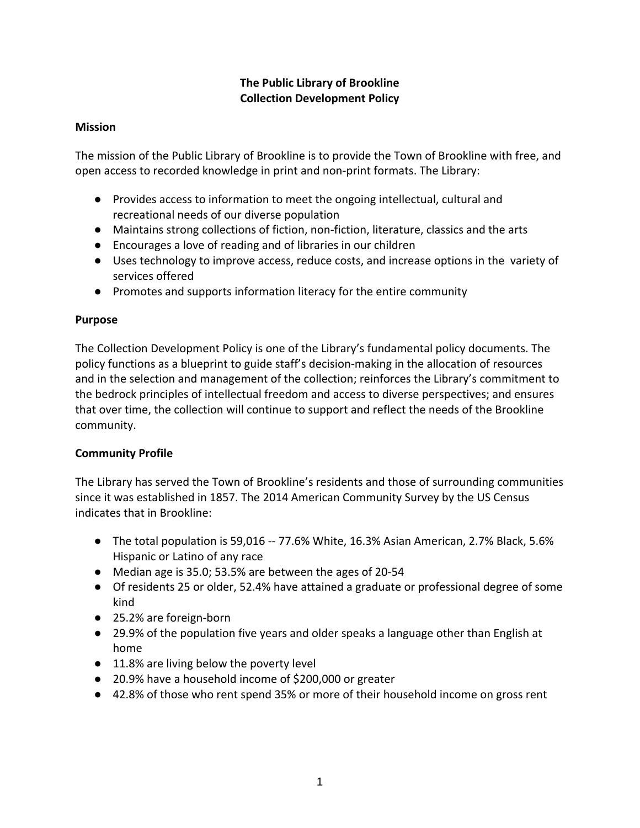# **The Public Library of Brookline Collection Development Policy**

## **Mission**

The mission of the Public Library of Brookline is to provide the Town of Brookline with free, and open access to recorded knowledge in print and non‐print formats. The Library:

- Provides access to information to meet the ongoing intellectual, cultural and recreational needs of our diverse population
- Maintains strong collections of fiction, non-fiction, literature, classics and the arts
- Encourages a love of reading and of libraries in our children
- Uses technology to improve access, reduce costs, and increase options in the variety of services offered
- Promotes and supports information literacy for the entire community

## **Purpose**

The Collection Development Policy is one of the Library's fundamental policy documents. The policy functions as a blueprint to guide staff's decision‐making in the allocation of resources and in the selection and management of the collection; reinforces the Library's commitment to the bedrock principles of intellectual freedom and access to diverse perspectives; and ensures that over time, the collection will continue to support and reflect the needs of the Brookline community.

## **Community Profile**

The Library has served the Town of Brookline's residents and those of surrounding communities since it was established in 1857. The 2014 American Community Survey by the US Census indicates that in Brookline:

- The total population is 59,016 ‐‐ 77.6% White, 16.3% Asian American, 2.7% Black, 5.6% Hispanic or Latino of any race
- Median age is 35.0; 53.5% are between the ages of 20-54
- Of residents 25 or older, 52.4% have attained a graduate or professional degree of some kind
- 25.2% are foreign-born
- 29.9% of the population five years and older speaks a language other than English at home
- 11.8% are living below the poverty level
- 20.9% have a household income of \$200,000 or greater
- 42.8% of those who rent spend 35% or more of their household income on gross rent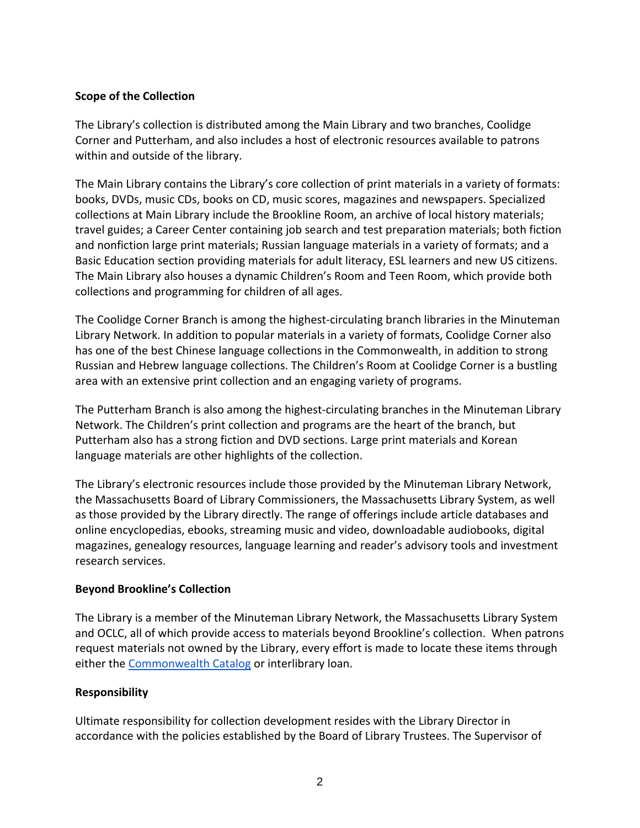#### **Scope of the Collection**

The Library's collection is distributed among the Main Library and two branches, Coolidge Corner and Putterham, and also includes a host of electronic resources available to patrons within and outside of the library.

The Main Library contains the Library's core collection of print materials in a variety of formats: books, DVDs, music CDs, books on CD, music scores, magazines and newspapers. Specialized collections at Main Library include the Brookline Room, an archive of local history materials; travel guides; a Career Center containing job search and test preparation materials; both fiction and nonfiction large print materials; Russian language materials in a variety of formats; and a Basic Education section providing materials for adult literacy, ESL learners and new US citizens. The Main Library also houses a dynamic Children's Room and Teen Room, which provide both collections and programming for children of all ages.

The Coolidge Corner Branch is among the highest-circulating branch libraries in the Minuteman Library Network. In addition to popular materials in a variety of formats, Coolidge Corner also has one of the best Chinese language collections in the Commonwealth, in addition to strong Russian and Hebrew language collections. The Children's Room at Coolidge Corner is a bustling area with an extensive print collection and an engaging variety of programs.

The Putterham Branch is also among the highest‐circulating branches in the Minuteman Library Network. The Children's print collection and programs are the heart of the branch, but Putterham also has a strong fiction and DVD sections. Large print materials and Korean language materials are other highlights of the collection.

The Library's electronic resources include those provided by the Minuteman Library Network, the Massachusetts Board of Library Commissioners, the Massachusetts Library System, as well as those provided by the Library directly. The range of offerings include article databases and online encyclopedias, ebooks, streaming music and video, downloadable audiobooks, digital magazines, genealogy resources, language learning and reader's advisory tools and investment research services.

## **Beyond Brookline's Collection**

The Library is a member of the Minuteman Library Network, the Massachusetts Library System and OCLC, all of which provide access to materials beyond Brookline's collection. When patrons request materials not owned by the Library, every effort is made to locate these items through either the Commonwealth Catalog or interlibrary loan.

#### **Responsibility**

Ultimate responsibility for collection development resides with the Library Director in accordance with the policies established by the Board of Library Trustees. The Supervisor of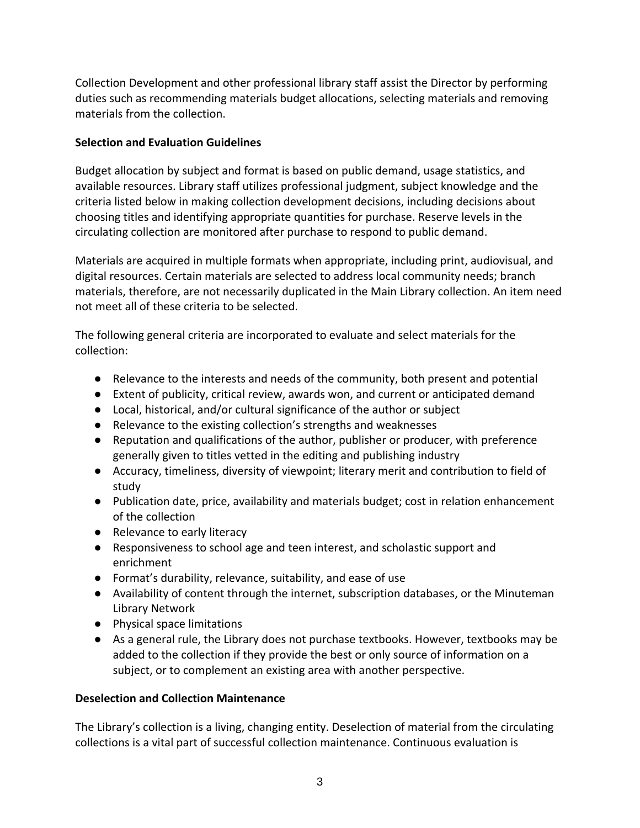Collection Development and other professional library staff assist the Director by performing duties such as recommending materials budget allocations, selecting materials and removing materials from the collection.

## **Selection and Evaluation Guidelines**

Budget allocation by subject and format is based on public demand, usage statistics, and available resources. Library staff utilizes professional judgment, subject knowledge and the criteria listed below in making collection development decisions, including decisions about choosing titles and identifying appropriate quantities for purchase. Reserve levels in the circulating collection are monitored after purchase to respond to public demand.

Materials are acquired in multiple formats when appropriate, including print, audiovisual, and digital resources. Certain materials are selected to address local community needs; branch materials, therefore, are not necessarily duplicated in the Main Library collection. An item need not meet all of these criteria to be selected.

The following general criteria are incorporated to evaluate and select materials for the collection:

- Relevance to the interests and needs of the community, both present and potential
- Extent of publicity, critical review, awards won, and current or anticipated demand
- Local, historical, and/or cultural significance of the author or subject
- Relevance to the existing collection's strengths and weaknesses
- Reputation and qualifications of the author, publisher or producer, with preference generally given to titles vetted in the editing and publishing industry
- Accuracy, timeliness, diversity of viewpoint; literary merit and contribution to field of study
- Publication date, price, availability and materials budget; cost in relation enhancement of the collection
- Relevance to early literacy
- Responsiveness to school age and teen interest, and scholastic support and enrichment
- Format's durability, relevance, suitability, and ease of use
- Availability of content through the internet, subscription databases, or the Minuteman Library Network
- Physical space limitations
- As a general rule, the Library does not purchase textbooks. However, textbooks may be added to the collection if they provide the best or only source of information on a subject, or to complement an existing area with another perspective.

# **Deselection and Collection Maintenance**

The Library's collection is a living, changing entity. Deselection of material from the circulating collections is a vital part of successful collection maintenance. Continuous evaluation is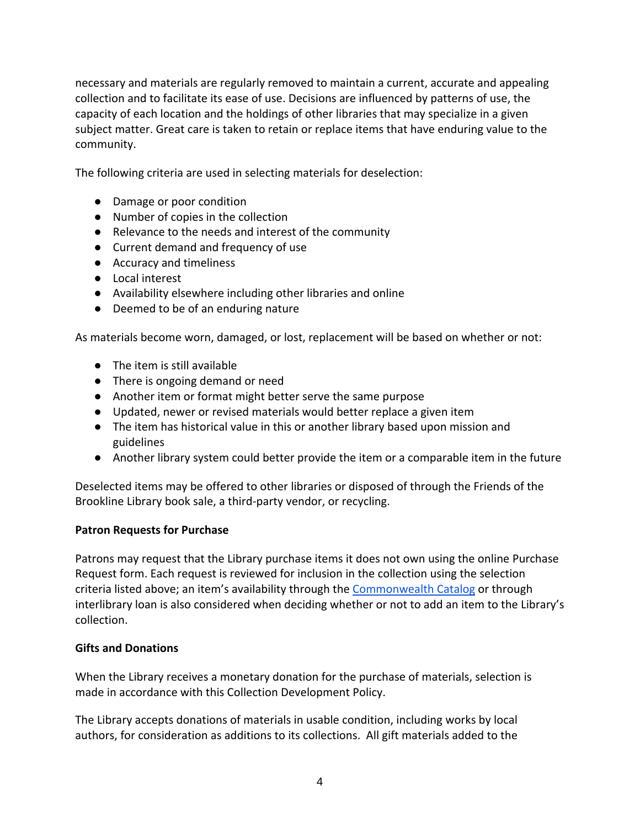necessary and materials are regularly removed to maintain a current, accurate and appealing collection and to facilitate its ease of use. Decisions are influenced by patterns of use, the capacity of each location and the holdings of other libraries that may specialize in a given subject matter. Great care is taken to retain or replace items that have enduring value to the community.

The following criteria are used in selecting materials for deselection:

- Damage or poor condition
- Number of copies in the collection
- Relevance to the needs and interest of the community
- Current demand and frequency of use
- Accuracy and timeliness
- Local interest
- Availability elsewhere including other libraries and online
- Deemed to be of an enduring nature

As materials become worn, damaged, or lost, replacement will be based on whether or not:

- The item is still available
- There is ongoing demand or need
- Another item or format might better serve the same purpose
- Updated, newer or revised materials would better replace a given item
- The item has historical value in this or another library based upon mission and guidelines
- Another library system could better provide the item or a comparable item in the future

Deselected items may be offered to other libraries or disposed of through the Friends of the Brookline Library book sale, a third‐party vendor, or recycling.

#### **Patron Requests for Purchase**

Patrons may request that the Library purchase items it does not own using the online Purchase Request form. Each request is reviewed for inclusion in the collection using the selection criteria listed above; an item's availability through the Commonwealth Catalog or through interlibrary loan is also considered when deciding whether or not to add an item to the Library's collection.

#### **Gifts and Donations**

When the Library receives a monetary donation for the purchase of materials, selection is made in accordance with this Collection Development Policy.

The Library accepts donations of materials in usable condition, including works by local authors, for consideration as additions to its collections. All gift materials added to the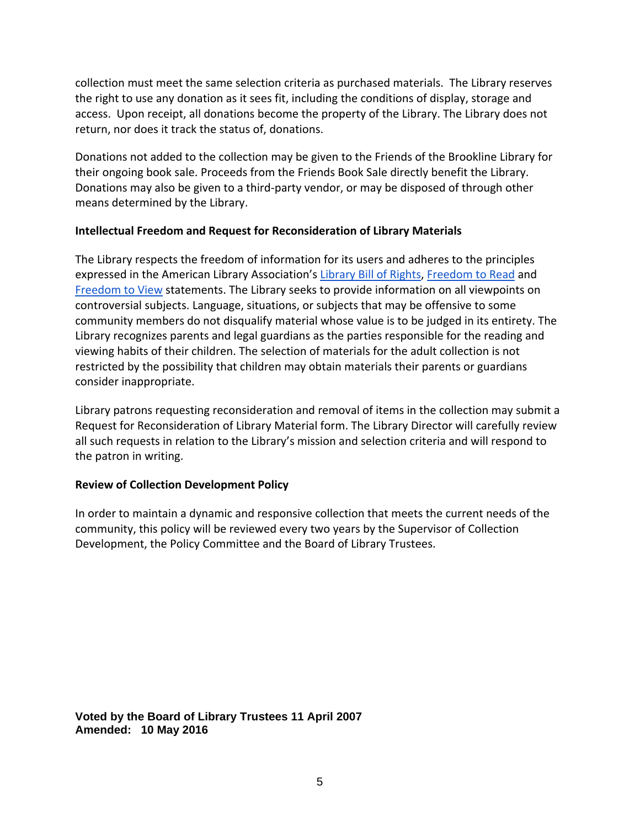collection must meet the same selection criteria as purchased materials. The Library reserves the right to use any donation as it sees fit, including the conditions of display, storage and access. Upon receipt, all donations become the property of the Library. The Library does not return, nor does it track the status of, donations.

Donations not added to the collection may be given to the Friends of the Brookline Library for their ongoing book sale. Proceeds from the Friends Book Sale directly benefit the Library. Donations may also be given to a third‐party vendor, or may be disposed of through other means determined by the Library.

#### **Intellectual Freedom and Request for Reconsideration of Library Materials**

The Library respects the freedom of information for its users and adheres to the principles expressed in the American Library Association's Library Bill of Rights, Freedom to Read and Freedom to View statements. The Library seeks to provide information on all viewpoints on controversial subjects. Language, situations, or subjects that may be offensive to some community members do not disqualify material whose value is to be judged in its entirety. The Library recognizes parents and legal guardians as the parties responsible for the reading and viewing habits of their children. The selection of materials for the adult collection is not restricted by the possibility that children may obtain materials their parents or guardians consider inappropriate.

Library patrons requesting reconsideration and removal of items in the collection may submit a Request for Reconsideration of Library Material form. The Library Director will carefully review all such requests in relation to the Library's mission and selection criteria and will respond to the patron in writing.

## **Review of Collection Development Policy**

In order to maintain a dynamic and responsive collection that meets the current needs of the community, this policy will be reviewed every two years by the Supervisor of Collection Development, the Policy Committee and the Board of Library Trustees.

**Voted by the Board of Library Trustees 11 April 2007 Amended: 10 May 2016**